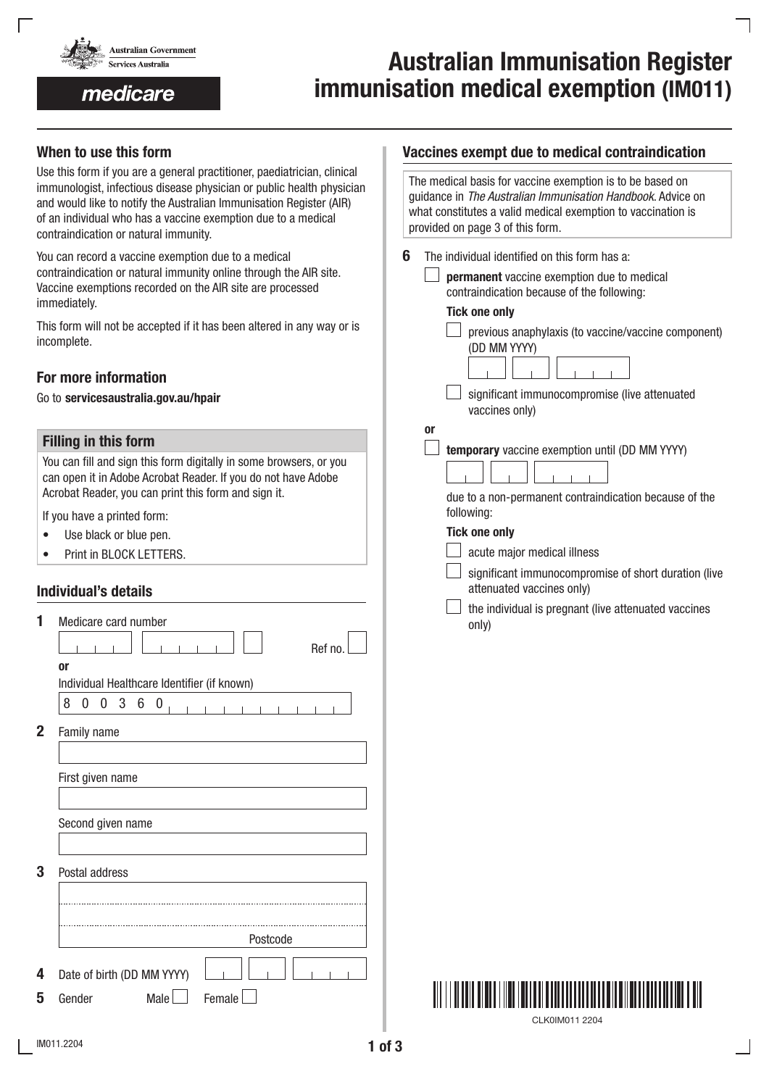

medicare

# Australian Immunisation Register immunisation medical exemption (IM011)

# When to use this form

Use this form if you are a general practitioner, paediatrician, clinical immunologist, infectious disease physician or public health physician and would like to notify the Australian Immunisation Register (AIR) of an individual who has a vaccine exemption due to a medical contraindication or natural immunity.

You can record a vaccine exemption due to a medical contraindication or natural immunity online through the AIR site. Vaccine exemptions recorded on the AIR site are processed immediately.

This form will not be accepted if it has been altered in any way or is incomplete.

# For more information

Go to servicesaustralia.gov.au/hpair

## Filling in this form

You can fill and sign this form digitally in some browsers, or you can open it in Adobe Acrobat Reader. If you do not have Adobe Acrobat Reader, you can print this form and sign it.

If you have a printed form:

- Use black or blue pen.
- Print in BLOCK LETTERS.

# Individual's details

|              | Medicare card number                        |  |
|--------------|---------------------------------------------|--|
|              | Ref no                                      |  |
|              | or                                          |  |
|              | Individual Healthcare Identifier (if known) |  |
|              | 8<br>3<br>6<br>0<br>0<br>0                  |  |
| $\mathbf{2}$ | Family name                                 |  |
|              |                                             |  |
|              | First given name                            |  |
|              |                                             |  |
|              | Second given name                           |  |
|              |                                             |  |
| 3            | Postal address                              |  |
|              |                                             |  |
|              |                                             |  |
|              | Postcode                                    |  |
| 4            | Date of birth (DD MM YYYY)                  |  |
|              |                                             |  |
| 5            | Female<br>Gender<br>Male                    |  |

## Vaccines exempt due to medical contraindication

|    | The medical basis for vaccine exemption is to be based on<br>guidance in The Australian Immunisation Handbook. Advice on<br>what constitutes a valid medical exemption to vaccination is<br>provided on page 3 of this form.                                                                                                        |
|----|-------------------------------------------------------------------------------------------------------------------------------------------------------------------------------------------------------------------------------------------------------------------------------------------------------------------------------------|
| 6  | The individual identified on this form has a:<br>permanent vaccine exemption due to medical<br>contraindication because of the following:<br><b>Tick one only</b><br>previous anaphylaxis (to vaccine/vaccine component)<br>(DD MM YYYY)<br>significant immunocompromise (live attenuated<br>vaccines only)                         |
| 0r | temporary vaccine exemption until (DD MM YYYY)<br>due to a non-permanent contraindication because of the<br>following:<br><b>Tick one only</b><br>acute major medical illness<br>significant immunocompromise of short duration (live<br>attenuated vaccines only)<br>the individual is pregnant (live attenuated vaccines<br>only) |



CLK0IM011 2204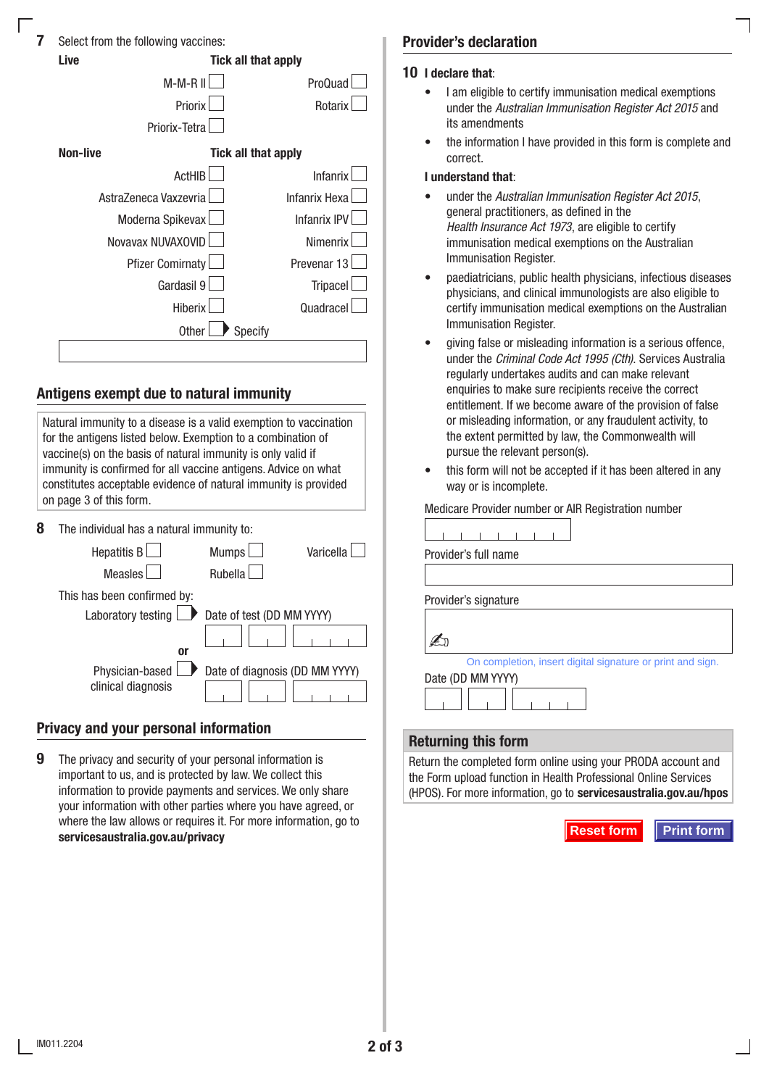| 7 | Select from the following vaccines: |  |  |
|---|-------------------------------------|--|--|
|   |                                     |  |  |

|                                        | Select from the following vaccines: |                      |
|----------------------------------------|-------------------------------------|----------------------|
| Live                                   | Tick all that apply                 |                      |
|                                        | M-M-R II                            | ProQuad              |
|                                        | Priorix                             | Rotarix              |
|                                        | Priorix-Tetra                       |                      |
| <b>Non-live</b><br>Tick all that apply |                                     |                      |
|                                        | <b>ActHIB</b>                       | <b>Infanrix</b>      |
|                                        | AstraZeneca Vaxzevria               | <b>Infanrix Hexa</b> |
|                                        | Moderna Spikevax                    | <b>Infanrix IPV</b>  |
|                                        | Novavax NUVAXOVID                   | Nimenrix             |
|                                        | <b>Pfizer Comirnaty</b>             | Prevenar 13          |
|                                        | Gardasil 9                          | <b>Tripacel</b>      |
|                                        | <b>Hiberix</b>                      | Quadracel            |
|                                        | Specify<br><b>Other</b>             |                      |
|                                        |                                     |                      |

# Antigens exempt due to natural immunity

Natural immunity to a disease is a valid exemption to vaccination for the antigens listed below. Exemption to a combination of vaccine(s) on the basis of natural immunity is only valid if immunity is confirmed for all vaccine antigens. Advice on what constitutes acceptable evidence of natural immunity is provided on page 3 of this form.

8 The individual has a natural immunity to:

| <b>Hepatitis B</b>          | <b>Mumps</b><br>Varicella      |
|-----------------------------|--------------------------------|
| <b>Measles</b>              | <b>Rubella</b>                 |
| This has been confirmed by: |                                |
| Laboratory testing          | Date of test (DD MM YYYY)      |
|                             |                                |
| <b>or</b>                   |                                |
| Physician-based             | Date of diagnosis (DD MM YYYY) |
| clinical diagnosis          |                                |

# Privacy and your personal information

**9** The privacy and security of your personal information is important to us, and is protected by law. We collect this information to provide payments and services. We only share your information with other parties where you have agreed, or where the law allows or requires it. For more information, go to servicesaustralia.gov.au/privacy

## Provider's declaration

#### 10 I declare that:

- I am eligible to certify immunisation medical exemptions under the *Australian Immunisation Register Act 2015* and its amendments
- the information I have provided in this form is complete and correct.

#### I understand that:

- under the *Australian Immunisation Register Act 2015*, general practitioners, as defined in the *Health Insurance Act 1973*, are eligible to certify immunisation medical exemptions on the Australian Immunisation Register.
- paediatricians, public health physicians, infectious diseases physicians, and clinical immunologists are also eligible to certify immunisation medical exemptions on the Australian Immunisation Register.
- giving false or misleading information is a serious offence, under the *Criminal Code Act 1995 (Cth)*. Services Australia regularly undertakes audits and can make relevant enquiries to make sure recipients receive the correct entitlement. If we become aware of the provision of false or misleading information, or any fraudulent activity, to the extent permitted by law, the Commonwealth will pursue the relevant person(s).
- this form will not be accepted if it has been altered in any way or is incomplete.

Medicare Provider number or AIR Registration number

| Provider's full name                                                                                                                                                                             |
|--------------------------------------------------------------------------------------------------------------------------------------------------------------------------------------------------|
|                                                                                                                                                                                                  |
| Provider's signature                                                                                                                                                                             |
|                                                                                                                                                                                                  |
| On completion, insert digital signature or print and sign.                                                                                                                                       |
| Date (DD MM YYYY)                                                                                                                                                                                |
|                                                                                                                                                                                                  |
| eturning this form                                                                                                                                                                               |
| eturn the completed form online using your PRODA account and<br>e Form upload function in Health Professional Online Services<br>POS). For more information, go to servicesaustralia.gov.au/hpos |
|                                                                                                                                                                                                  |
| <b>Reset form</b><br><b>Print form</b>                                                                                                                                                           |

## Returning this form